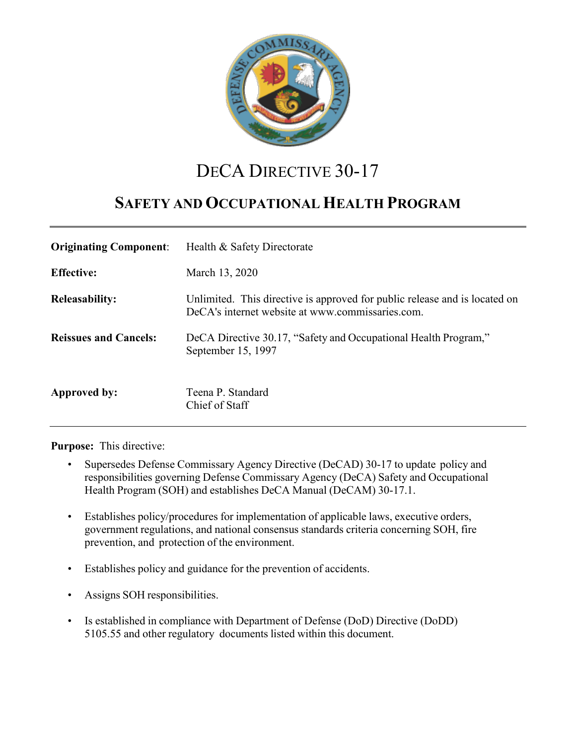

# DECA DIRECTIVE 30-17

# **SAFETY AND OCCUPATIONAL HEALTH PROGRAM**

| <b>Originating Component:</b> | Health & Safety Directorate                                                                                                    |
|-------------------------------|--------------------------------------------------------------------------------------------------------------------------------|
| <b>Effective:</b>             | March 13, 2020                                                                                                                 |
| <b>Releasability:</b>         | Unlimited. This directive is approved for public release and is located on<br>DeCA's internet website at www.commissaries.com. |
| <b>Reissues and Cancels:</b>  | DeCA Directive 30.17, "Safety and Occupational Health Program,"<br>September 15, 1997                                          |
| Approved by:                  | Teena P. Standard<br>Chief of Staff                                                                                            |

**Purpose:** This directive:

- Supersedes Defense Commissary Agency Directive (DeCAD) 30-17 to update policy and responsibilities governing Defense Commissary Agency (DeCA) Safety and Occupational Health Program (SOH) and establishes DeCA Manual (DeCAM) 30-17.1.
- Establishes policy/procedures for implementation of applicable laws, executive orders, government regulations, and national consensus standards criteria concerning SOH, fire prevention, and protection of the environment.
- Establishes policy and guidance for the prevention of accidents.
- Assigns SOH responsibilities.
- Is established in compliance with Department of Defense (DoD) Directive (DoDD) 5105.55 and other regulatory documents listed within this document.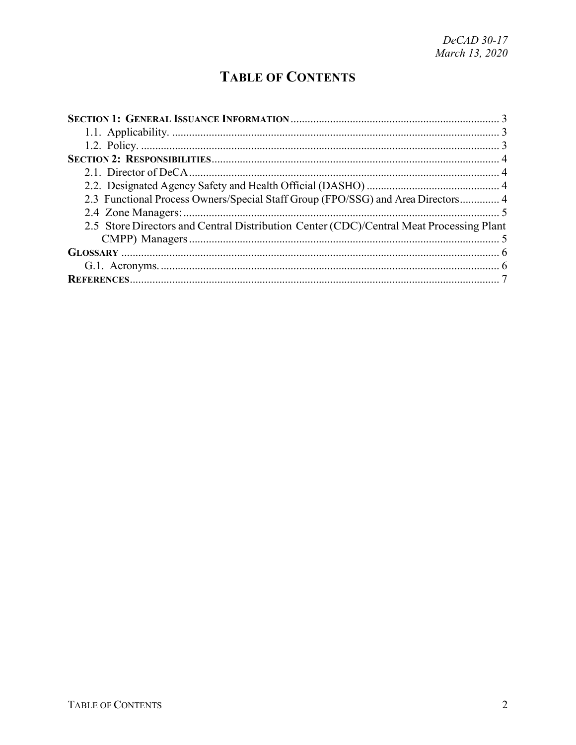# **TABLE OF CONTENTS**

| 2.3 Functional Process Owners/Special Staff Group (FPO/SSG) and Area Directors 4        |  |
|-----------------------------------------------------------------------------------------|--|
|                                                                                         |  |
| 2.5 Store Directors and Central Distribution Center (CDC)/Central Meat Processing Plant |  |
|                                                                                         |  |
|                                                                                         |  |
|                                                                                         |  |
|                                                                                         |  |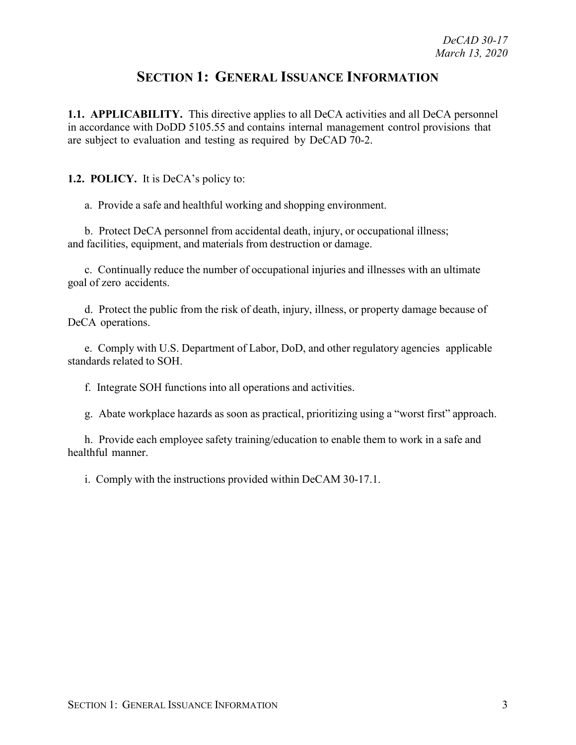### **SECTION 1: GENERAL ISSUANCE INFORMATION**

<span id="page-2-1"></span><span id="page-2-0"></span>**1.1. APPLICABILITY.** This directive applies to all DeCA activities and all DeCA personnel in accordance with DoDD 5105.55 and contains internal management control provisions that are subject to evaluation and testing as required by DeCAD 70-2.

<span id="page-2-2"></span>**1.2. POLICY.** It is DeCA's policy to:

a. Provide a safe and healthful working and shopping environment.

b. Protect DeCA personnel from accidental death, injury, or occupational illness; and facilities, equipment, and materials from destruction or damage.

c. Continually reduce the number of occupational injuries and illnesses with an ultimate goal of zero accidents.

d. Protect the public from the risk of death, injury, illness, or property damage because of DeCA operations.

e. Comply with U.S. Department of Labor, DoD, and other regulatory agencies applicable standards related to SOH.

f. Integrate SOH functions into all operations and activities.

g. Abate workplace hazards as soon as practical, prioritizing using a "worst first" approach.

h. Provide each employee safety training/education to enable them to work in a safe and healthful manner.

i. Comply with the instructions provided within DeCAM 30-17.1.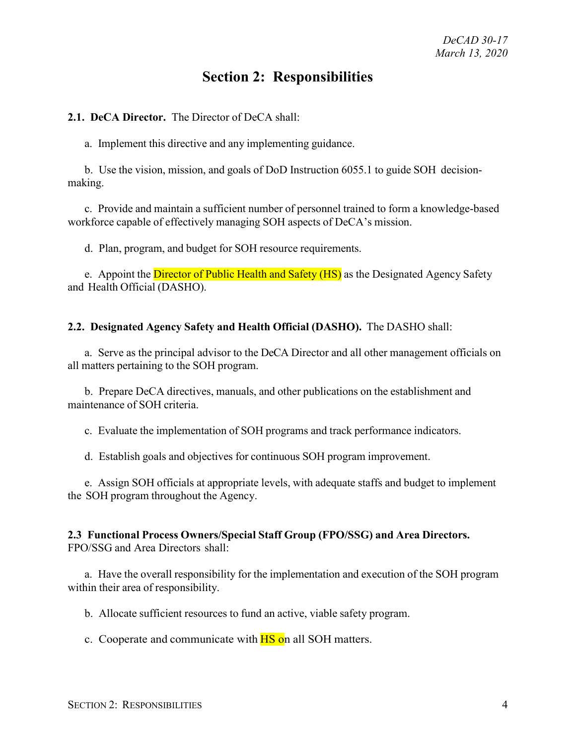## **Section 2: Responsibilities**

#### <span id="page-3-1"></span><span id="page-3-0"></span>**2.1. DeCA Director.** The Director of DeCA shall:

a. Implement this directive and any implementing guidance.

b. Use the vision, mission, and goals of DoD Instruction 6055.1 to guide SOH decisionmaking.

c. Provide and maintain a sufficient number of personnel trained to form a knowledge-based workforce capable of effectively managing SOH aspects of DeCA's mission.

d. Plan, program, and budget for SOH resource requirements.

e. Appoint the **Director of Public Health and Safety (HS)** as the Designated Agency Safety and Health Official (DASHO).

#### <span id="page-3-2"></span>**2.2. Designated Agency Safety and Health Official (DASHO).** The DASHO shall:

a. Serve as the principal advisor to the DeCA Director and all other management officials on all matters pertaining to the SOH program.

b. Prepare DeCA directives, manuals, and other publications on the establishment and maintenance of SOH criteria.

c. Evaluate the implementation of SOH programs and track performance indicators.

d. Establish goals and objectives for continuous SOH program improvement.

e. Assign SOH officials at appropriate levels, with adequate staffs and budget to implement the SOH program throughout the Agency.

#### <span id="page-3-3"></span>**2.3 Functional Process Owners/Special Staff Group (FPO/SSG) and Area Directors.** FPO/SSG and Area Directors shall:

a. Have the overall responsibility for the implementation and execution of the SOH program within their area of responsibility.

b. Allocate sufficient resources to fund an active, viable safety program.

c. Cooperate and communicate with **HS** on all SOH matters.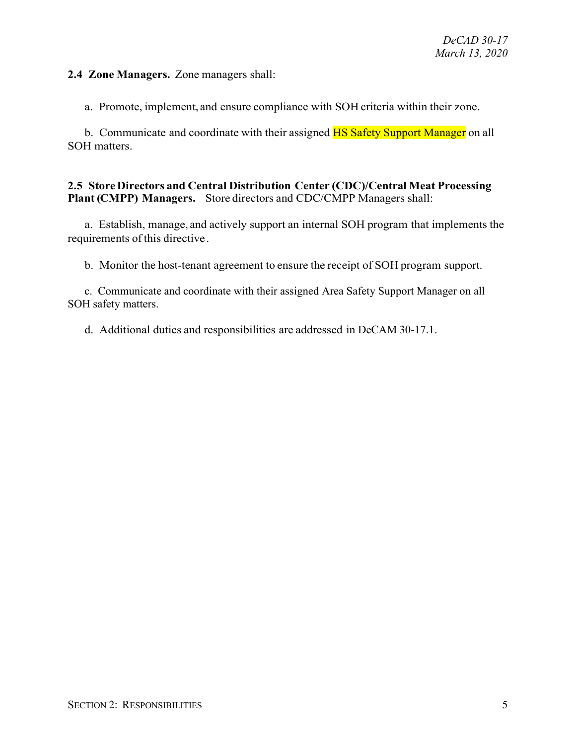<span id="page-4-0"></span>**2.4 Zone Managers.** Zone managers shall:

a. Promote, implement, and ensure compliance with SOH criteria within their zone.

b. Communicate and coordinate with their assigned **HS Safety Support Manager** on all SOH matters.

#### <span id="page-4-1"></span>**2.5 Store Directors and Central Distribution Center (CDC)/Central Meat Processing Plant (CMPP) Managers.** Store directors and CDC/CMPP Managers shall:

a. Establish, manage, and actively support an internal SOH program that implements the requirements of this directive.

b. Monitor the host-tenant agreement to ensure the receipt of SOH program support.

c. Communicate and coordinate with their assigned Area Safety Support Manager on all SOH safety matters.

d. Additional duties and responsibilities are addressed in DeCAM 30-17.1.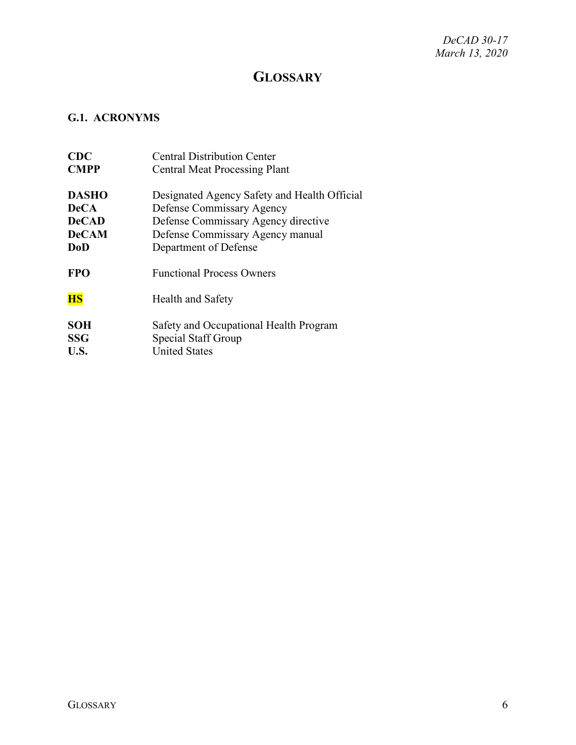*DeCAD 30-17 March 13, 2020*

## **GLOSSARY**

### <span id="page-5-1"></span><span id="page-5-0"></span>**G.1. ACRONYMS**

| CDC          | <b>Central Distribution Center</b>           |
|--------------|----------------------------------------------|
| <b>CMPP</b>  | <b>Central Meat Processing Plant</b>         |
| <b>DASHO</b> | Designated Agency Safety and Health Official |
| <b>DeCA</b>  | Defense Commissary Agency                    |
| <b>DeCAD</b> | Defense Commissary Agency directive          |
| <b>DeCAM</b> | Defense Commissary Agency manual             |
| <b>DoD</b>   | Department of Defense                        |
| <b>FPO</b>   | <b>Functional Process Owners</b>             |
| <b>HS</b>    | Health and Safety                            |
| <b>SOH</b>   | Safety and Occupational Health Program       |
| <b>SSG</b>   | Special Staff Group                          |
| U.S.         | <b>United States</b>                         |
|              |                                              |